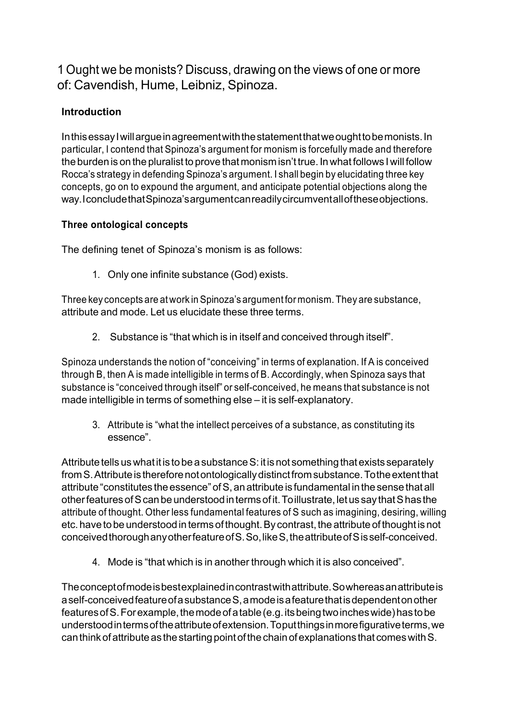1 Ought we be monists? Discuss, drawing on the views of one or more of: Cavendish, Hume, Leibniz, Spinoza.

# **Introduction**

In this essay I will argue in agreement with the statement that we ought to be monists. In particular, I contend that Spinoza's argument for monism is forcefully made and therefore the burden is on the pluralist to prove that monism isn't true. Inwhat follows Iwill follow Rocca's strategy in defending Spinoza's argument. I shall begin by elucidating three key concepts, go on to expound the argument, and anticipate potential objections along the way.IconcludethatSpinoza'sargumentcanreadilycircumventalloftheseobjections.

#### **Three ontological concepts**

The defining tenet of Spinoza's monism is as follows:

1. Only one infinite substance (God) exists.

Three key concepts are at work in Spinoza's argument for monism. They are substance, attribute and mode. Let us elucidate these three terms.

2. Substance is "that which is in itself and conceived through itself".

Spinoza understands the notion of "conceiving" in terms of explanation. If A is conceived through B, then A is made intelligible in terms of B. Accordingly, when Spinoza says that substance is "conceived through itself" or self-conceived, he means that substance is not made intelligible in terms of something else – it is self-explanatory.

3. Attribute is "what the intellect perceives of a substance, as constituting its essence".

Attribute tells us what it is to be a substance S: it is not something that exists separately from S. Attribute is therefore not ontologically distinct from substance. To the extent that attribute "constitutes the essence" of S, an attribute is fundamental in the sense that all other features of Scan be understood in terms of it. To illustrate, let us say that S has the attribute of thought. Other less fundamental features of S such as imagining, desiring, willing etc. have to be understood in terms of thought. By contrast, the attribute of thought is not conceivedthoroughanyotherfeatureofS.So,likeS,theattributeofSisself-conceived.

4. Mode is "that which is in another through which it is also conceived".

Theconceptofmodeisbestexplainedincontrastwithattribute.Sowhereasanattributeis aself-conceivedfeatureofasubstanceS,amodeisafeaturethatisdependentonother features of S. For example, the mode of a table (e.g. its being two inches wide) has to be understoodintermsoftheattributeofextension.Toputthingsinmorefigurativeterms,we can think of attribute as the starting point of the chain of explanations that comes with S.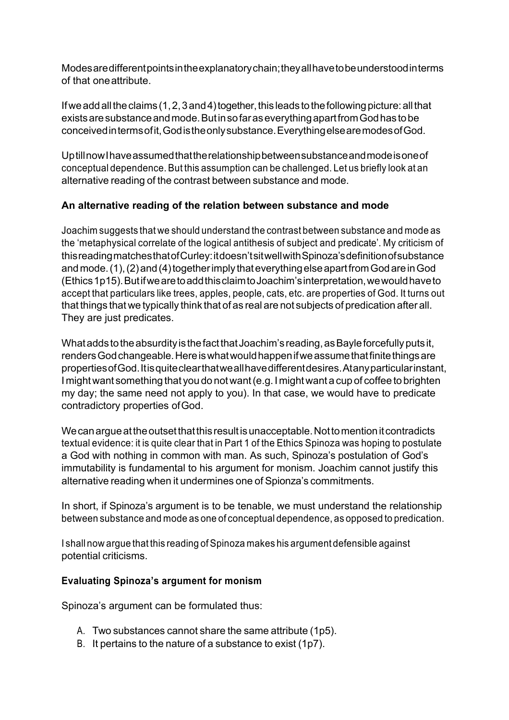Modesaredifferentpointsintheexplanatorychain;theyallhavetobeunderstoodinterms of that oneattribute.

If we add all the claims (1, 2, 3 and 4) together, this leads to the following picture: all that existsaresubstanceandmode.ButinsofaraseverythingapartfromGodhastobe conceivedintermsofit,Godistheonlysubstance.EverythingelsearemodesofGod.

UptillnowIhaveassumedthattherelationshipbetweensubstanceandmodeisoneof conceptual dependence. But this assumption can be challenged. Let us briefly look at an alternative reading of the contrast between substance and mode.

## **An alternative reading of the relation between substance and mode**

Joachim suggests that we should understand the contrast between substance and mode as the 'metaphysical correlate of the logical antithesis of subject and predicate'. My criticism of thisreadingmatchesthatofCurley:itdoesn'tsitwellwithSpinoza'sdefinitionofsubstance and mode.(1), (2) and (4)together imply that everything else apart from God are in God (Ethics1p15).ButifwearetoaddthisclaimtoJoachim'sinterpretation,wewouldhaveto accept that particulars like trees, apples, people, cats, etc. are properties of God. It turns out that things that we typically think that of as real are not subjects of predication after all. They are just predicates.

What adds to the absurdity is the fact that Joachim's reading, as Bayle forcefully puts it, rendersGodchangeable.Hereiswhatwouldhappenifweassumethatfinitethingsare propertiesofGod.Itisquiteclearthatweallhavedifferentdesires.Atanyparticularinstant, I mightwant something that you do notwant(e.g. I mightwant a cup of coffee to brighten my day; the same need not apply to you). In that case, we would have to predicate contradictory properties ofGod.

We can argue at the outset that this result is unacceptable. Not to mention it contradicts textual evidence: it is quite clear that in Part 1 of the Ethics Spinoza was hoping to postulate a God with nothing in common with man. As such, Spinoza's postulation of God's immutability is fundamental to his argument for monism. Joachim cannot justify this alternative reading when it undermines one of Spionza's commitments.

In short, if Spinoza's argument is to be tenable, we must understand the relationship between substance and mode as one of conceptual dependence, as opposed to predication.

I shall now argue that this reading of Spinoza makes his argument defensible against potential criticisms.

#### **Evaluating Spinoza's argument for monism**

Spinoza's argument can be formulated thus:

- A. Two substances cannot share the same attribute (1p5).
- B. It pertains to the nature of a substance to exist (1p7).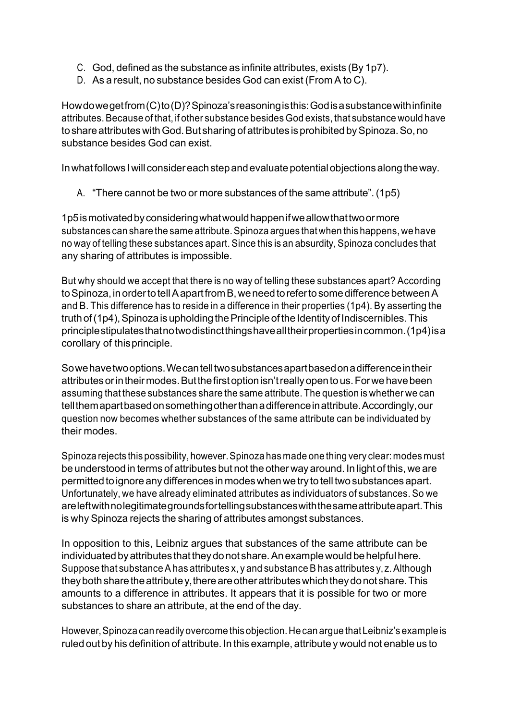- C. God, defined as the substance as infinite attributes, exists (By 1p7).
- D. As a result, no substance besides God can exist (From A to C).

Howdowegetfrom(C)to(D)?Spinoza'sreasoningisthis:Godisasubstancewithinfinite attributes.Because of that, if other substance besides God exists, that substance would have to share attributes with God. But sharing of attributes is prohibited by Spinoza. So, no substance besides God can exist.

In what follows I will consider each step and evaluate potential objections along the way.

A. "There cannot be two or more substances of the same attribute". (1p5)

1p5ismotivatedbyconsideringwhatwouldhappenifweallowthattwoormore substances can share the same attribute.Spinoza argues that when this happens, we have no way of telling these substances apart. Since this is an absurdity, Spinoza concludes that any sharing of attributes is impossible.

But why should we accept that there is no way of telling these substances apart? According to Spinoza, in order to tell A apart from B, we need to refer to some difference between A and B. This difference has to reside in a difference in their properties (1p4). By asserting the truth of (1p4), Spinoza is upholding the Principle of the Identity of Indiscernibles. This principlestipulatesthatnotwodistinctthingshavealltheirpropertiesincommon.(1p4)isa corollary of thisprinciple.

Sowehavetwooptions.Wecantelltwosubstancesapartbasedonadifferenceintheir attributes or in their modes. But the first option isn't really open to us. For we have been assuming that these substances share the same attribute. The question is whether we can tellthemapartbasedonsomethingotherthanadifferenceinattribute.Accordingly,our question now becomes whether substances of the same attribute can be individuated by their modes.

Spinoza rejects this possibility, however.Spinoza has made one thing very clear: modes must be understood in terms of attributes but not the other way around. In light of this, we are permitted to ignore any differences in modes when we try to tell two substances apart. Unfortunately, we have already eliminated attributes as individuators of substances. So we areleftwithnolegitimategroundsfortellingsubstanceswiththesameattributeapart.This is why Spinoza rejects the sharing of attributes amongst substances.

In opposition to this, Leibniz argues that substances of the same attribute can be individuated by attributes that they do not share. An example would be helpful here. Suppose that substance A has attributes x, y and substance B has attributes y, z. Although they both share the attribute y, there are other attributes which they do not share. This amounts to a difference in attributes. It appears that it is possible for two or more substances to share an attribute, at the end of the day.

However,Spinoza can readily overcome this objection.He can argue thatLeibniz's example is ruled out by his definition of attribute. In this example, attribute y would not enable us to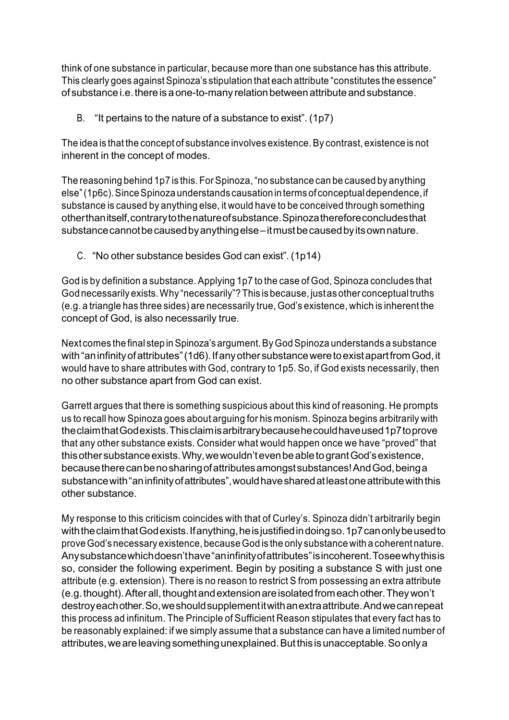think of one substance in particular, because more than one substance has this attribute. This clearly goes against Spinoza's stipulation that each attribute "constitutes the essence" of substance i.e. there is a one-to-many relation between attribute and substance.

B. "It pertains to the nature of a substance to exist". (1p7)

The idea is that the concept of substance involves existence.By contrast, existence is not inherent in the concept of modes.

The reasoning behind 1p7 is this. For Spinoza, "no substance can be caused by anything else" (1p6c). Since Spinoza understands causation in terms of conceptual dependence, if substance is caused by anything else, it would have to be conceived through something otherthanitself,contrarytothenatureofsubstance.Spinozathereforeconcludesthat substance cannot be caused by anything else – it must be caused by its own nature.

C. "No other substance besides God can exist". (1p14)

God is by definition a substance. Applying 1p7 to the case of God, Spinoza concludes that God necessarily exists. Why "necessarily"? This is because, just as other conceptual truths (e.g. a triangle has three sides) are necessarily true, God's existence, which is inherent the concept of God, is also necessarily true.

Next comes the final step in Spinoza's argument. By God Spinoza understands a substance with "an infinity of attributes" (1d6). If any other substance were to exist apart from God, it would have to share attributes with God, contrary to 1p5. So, if God exists necessarily, then no other substance apart from God can exist.

Garrett argues that there is something suspicious about this kind of reasoning. He prompts us to recall how Spinoza goes about arguing for his monism. Spinoza begins arbitrarily with theclaimthatGodexists.Thisclaimisarbitrarybecausehecouldhaveused1p7toprove that any other substance exists. Consider what would happen once we have "proved" that this other substance exists. Why, we wouldn't even be able to grant God's existence, becausetherecanbenosharingofattributesamongstsubstances!AndGod,beinga substancewith"aninfinityofattributes",wouldhavesharedatleastoneattributewiththis other substance.

My response to this criticism coincides with that of Curley's. Spinoza didn't arbitrarily begin with the claim that Godexists. If anything, he is justified in doing so. 1p7 can only be used to proveGod'snecessary existence, because God is the only substance with a coherent nature. Anysubstancewhichdoesn'thave"aninfinityofattributes"isincoherent.Toseewhythisis so, consider the following experiment. Begin by positing a substance S with just one attribute (e.g. extension). There is no reason to restrict S from possessing an extra attribute (e.g. thought). After all, thought and extension are isolated from each other. They won't destroyeachother.So,weshouldsupplementitwithanextraattribute.Andwecanrepeat this process ad infinitum. The Principle of Sufficient Reason stipulates that every fact has to be reasonably explained: if we simply assume that a substance can have a limited number of attributes,weareleavingsomethingunexplained.Butthisisunacceptable.Soonlya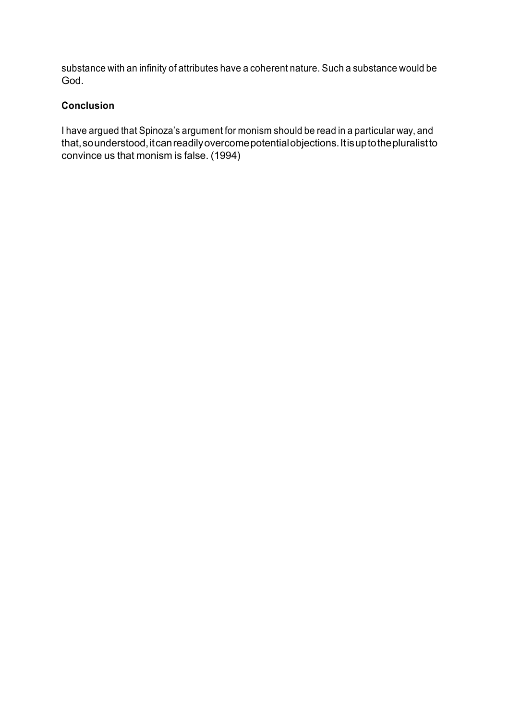substance with an infinity of attributes have a coherent nature. Such a substance would be God.

#### **Conclusion**

I have argued that Spinoza's argument for monism should be read in a particular way, and that,sounderstood,itcanreadilyovercomepotentialobjections.Itisuptothepluralistto convince us that monism is false. (1994)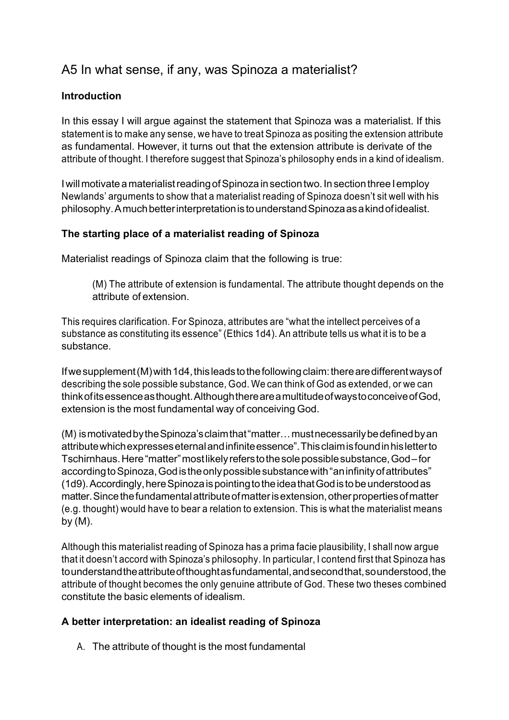# A5 In what sense, if any, was Spinoza a materialist?

# **Introduction**

In this essay I will argue against the statement that Spinoza was a materialist. If this statement is to make any sense, we have to treat Spinoza as positing the extension attribute as fundamental. However, it turns out that the extension attribute is derivate of the attribute of thought. I therefore suggest that Spinoza's philosophy ends in a kind of idealism.

I will motivate a materialist reading of Spinoza in section two. In section three I employ Newlands' arguments to show that a materialist reading of Spinoza doesn't sit well with his philosophy.AmuchbetterinterpretationistounderstandSpinozaasakindofidealist.

#### **The starting place of a materialist reading of Spinoza**

Materialist readings of Spinoza claim that the following is true:

(M) The attribute of extension is fundamental. The attribute thought depends on the attribute of extension.

This requires clarification. For Spinoza, attributes are "what the intellect perceives of a substance as constituting its essence" (Ethics 1d4). An attribute tells us what it is to be a substance.

If we supplement (M) with 1d4, this leads to the following claim: there are different ways of describing the sole possible substance, God. We can think of God as extended, or we can thinkofitsessenceasthought.AlthoughthereareamultitudeofwaystoconceiveofGod, extension is the most fundamental way of conceiving God.

(M) ismotivatedbytheSpinoza'sclaimthat"matter…mustnecessarilybedefinedbyan attributewhichexpresseseternalandinfiniteessence".Thisclaimisfoundinhisletterto Tschirnhaus.Here"matter"mostlikelyreferstothesolepossiblesubstance,God–for according to Spinoza, God is the only possible substance with "an infinity of attributes" (1d9).Accordingly,hereSpinozaispointingtotheideathatGodistobeunderstoodas matter. Since the fundamental attribute of matter is extension, other properties of matter (e.g. thought) would have to bear a relation to extension. This is what the materialist means by (M).

Although this materialist reading of Spinoza has a prima facie plausibility, I shall now argue that it doesn't accord with Spinoza's philosophy. In particular, I contend first that Spinoza has tounderstandtheattributeofthoughtasfundamental,andsecondthat,sounderstood,the attribute of thought becomes the only genuine attribute of God. These two theses combined constitute the basic elements of idealism.

#### **A better interpretation: an idealist reading of Spinoza**

A. The attribute of thought is the most fundamental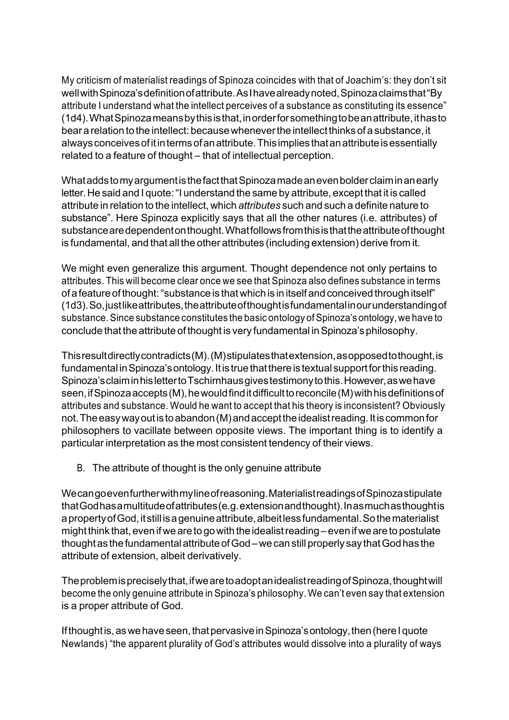My criticism of materialist readings of Spinoza coincides with that of Joachim's: they don't sit well with Spinoza's definition of attribute. As I have already noted, Spinoza claims that "By attribute I understand what the intellect perceives of a substance as constituting its essence" (1d4).WhatSpinozameansbythisisthat,inorderforsomethingtobeanattribute,ithasto bear a relation to the intellect: becausewheneverthe intellect thinks of a substance, it alwaysconceivesofitintermsofanattribute.Thisimplies thatanattributeisessentially related to a feature of thought – that of intellectual perception.

WhataddstomyargumentisthefactthatSpinozamadeanevenbolderclaiminanearly letter.He said and I quote:"I understand the same by attribute, except that it is called attribute in relation to the intellect, which *attributes* such and such a definite nature to substance". Here Spinoza explicitly says that all the other natures (i.e. attributes) of substancearedependentonthought.Whatfollowsfromthisisthattheattributeofthought is fundamental, and that all the other attributes (including extension) derive from it.

We might even generalize this argument. Thought dependence not only pertains to attributes. This will become clear once we see that Spinoza also defines substance in terms of a feature of thought:"substance is thatwhich is in itself and conceived through itself" (1d3).So,justlikeattributes,theattributeofthoughtisfundamentalinourunderstandingof substance. Since substance constitutes the basic ontology of Spinoza's ontology, we have to conclude that the attribute of thought is very fundamental in Spinoza's philosophy.

Thisresultdirectlycontradicts(M).(M)stipulatesthatextension,asopposedtothought,is fundamental in Spinoza's ontology. It is true that there is textual support for this reading. Spinoza'sclaiminhislettertoTschirnhausgivestestimonytothis.However,aswehave seen, if Spinoza accepts (M), he would find it difficult to reconcile (M) with his definitions of attributes and substance. Would he want to accept that his theory is inconsistent? Obviously not.Theeasywayoutistoabandon(M)andaccepttheidealistreading.Itiscommonfor philosophers to vacillate between opposite views. The important thing is to identify a particular interpretation as the most consistent tendency of their views.

B. The attribute of thought is the only genuine attribute

Wecangoevenfurtherwithmylineofreasoning.MaterialistreadingsofSpinozastipulate thatGodhasamultitudeofattributes(e.g.extensionandthought).Inasmuchasthoughtis a property of God, it still is a genuine attribute, albeit less fundamental. So the materialist might think that, even if we are to go with the idealist reading – even if we are to postulate thought as the fundamental attribute of God–we can still properly say that God has the attribute of extension, albeit derivatively.

The problem is precisely that, if we are to adopt an idealist reading of Spinoza, thought will become the only genuine attribute in Spinoza's philosophy. We can't even say that extension is a proper attribute of God.

If thought is, as we have seen, that pervasive in Spinoza's ontology, then (here I quote Newlands) "the apparent plurality of God's attributes would dissolve into a plurality of ways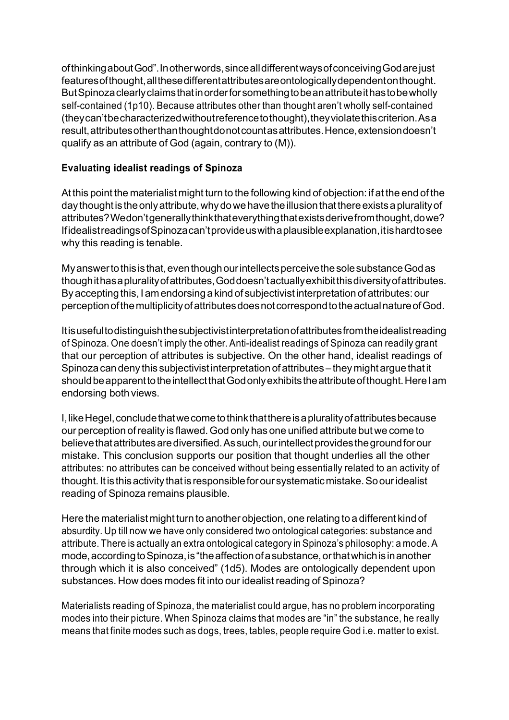ofthinkingaboutGod".Inotherwords,sincealldifferentwaysofconceivingGodarejust featuresofthought,allthesedifferentattributesareontologicallydependentonthought. ButSpinozaclearlyclaimsthatinorderforsomethingtobeanattributeithastobewholly self-contained (1p10). Because attributes other than thought aren't wholly self-contained (theycan'tbecharacterizedwithoutreferencetothought),theyviolatethiscriterion.Asa result,attributesotherthanthoughtdonotcountasattributes.Hence,extensiondoesn't qualify as an attribute of God (again, contrary to (M)).

#### **Evaluating idealist readings of Spinoza**

At this point the materialist might turn to the following kind of objection: if at the end of the day thought is the only attribute, why do we have the illusion that there exists a plurality of attributes?Wedon'tgenerallythinkthateverythingthatexistsderivefromthought,dowe? IfidealistreadingsofSpinozacan'tprovideuswithaplausibleexplanation,itishardtosee why this reading is tenable.

My answerto this is that, even though our intellects perceive the sole substance God as thoughithasapluralityofattributes,Goddoesn'tactuallyexhibitthisdiversityofattributes. By accepting this, I am endorsing a kind of subjectivist interpretation of attributes: our perceptionofthemultiplicityofattributesdoesnotcorrespondtotheactualnatureofGod.

Itisusefultodistinguishthesubjectivistinterpretationofattributesfromtheidealistreading of Spinoza. One doesn't imply the other. Anti-idealist readings of Spinoza can readily grant that our perception of attributes is subjective. On the other hand, idealist readings of Spinoza can deny this subjectivist interpretation of attributes – they might argue that it should be apparent to the intellect that God only exhibits the attribute of thought. Here I am endorsing both views.

I,likeHegel,concludethatwecometothinkthatthereisapluralityofattributesbecause our perception ofreality is flawed.God only has one unified attribute but we come to believethatattributesarediversified.Assuch,ourintellectprovidesthegroundforour mistake. This conclusion supports our position that thought underlies all the other attributes: no attributes can be conceived without being essentially related to an activity of thought. It is this activity that is responsible for our systematic mistake. So our idealist reading of Spinoza remains plausible.

Here the materialist might turn to another objection, one relating to a different kind of absurdity. Up till now we have only considered two ontological categories: substance and attribute. There is actually an extra ontological category in Spinoza's philosophy: a mode. A mode, according to Spinoza, is "the affection of a substance, or that which is in another through which it is also conceived" (1d5). Modes are ontologically dependent upon substances. How does modes fit into our idealist reading of Spinoza?

Materialists reading of Spinoza, the materialist could argue, has no problem incorporating modes into their picture. When Spinoza claims that modes are "in" the substance, he really means that finite modes such as dogs, trees, tables, people require God i.e. matter to exist.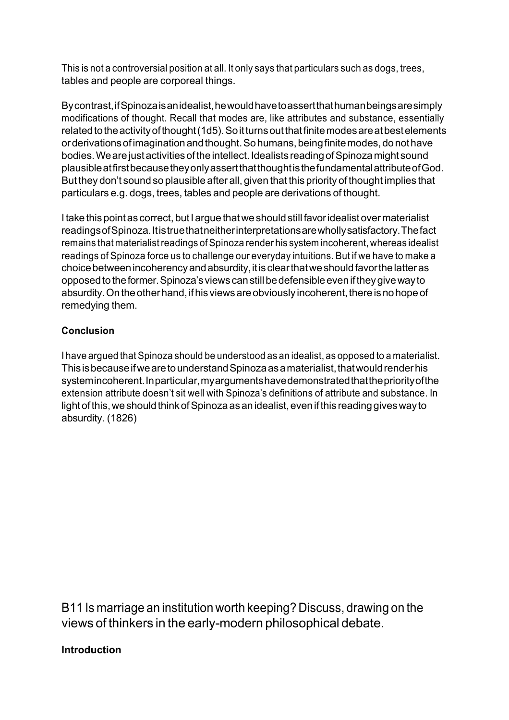This is not a controversial position at all. It only says that particulars such as dogs, trees, tables and people are corporeal things.

Bycontrast,ifSpinozaisanidealist,hewouldhavetoassertthathumanbeingsaresimply modifications of thought. Recall that modes are, like attributes and substance, essentially related to the activity of thought (1d5). So it turns out that finite modes are at best elements orderivationsofimaginationandthought.Sohumans,beingfinitemodes,donothave bodies. We are just activities of the intellect. Idealists reading of Spinoza might sound plausibleatfirstbecausetheyonlyassertthatthoughtisthefundamentalattributeofGod. But they don't sound so plausible after all, given that this priority of thought implies that particulars e.g. dogs, trees, tables and people are derivations of thought.

I take this point as correct, but I argue that we should still favor idealist over materialist readingsofSpinoza.Itistruethatneitherinterpretationsarewhollysatisfactory.Thefact remains that materialist readings of Spinoza render his system incoherent, whereas idealist readings of Spinoza force us to challenge our everyday intuitions. But if we have to make a choice between incoherency and absurdity, it is clear that we should favor the latter as opposed to the former. Spinoza's views can still be defensible even if they give way to absurdity. On the other hand, if his views are obviously incoherent, there is no hope of remedying them.

## **Conclusion**

I have argued that Spinoza should be understood as an idealist, as opposed to a materialist. This is because if we are to understand Spinoza as a materialist, that would render his systemincoherent.Inparticular,myargumentshavedemonstratedthatthepriority of the extension attribute doesn't sit well with Spinoza's definitions of attribute and substance. In light of this, we should think of Spinoza as an idealist, even if this reading gives way to absurdity. (1826)

B11 Is marriage an institution worth keeping? Discuss, drawing on the views of thinkers in the early-modern philosophical debate.

#### **Introduction**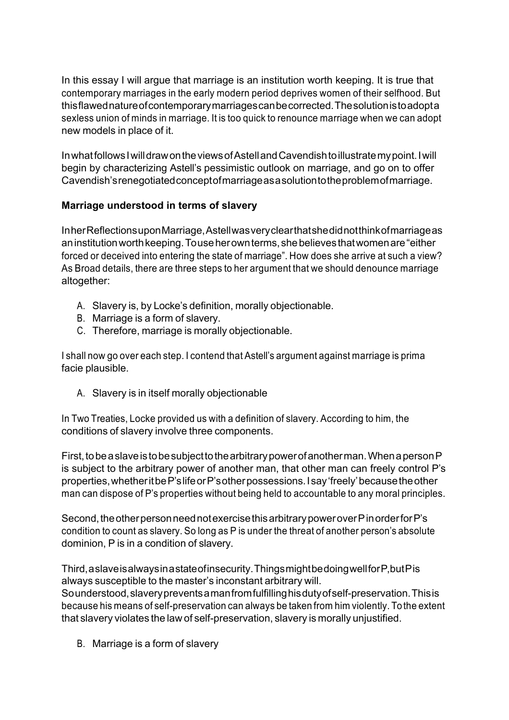In this essay I will argue that marriage is an institution worth keeping. It is true that contemporary marriages in the early modern period deprives women of their selfhood. But thisflawednatureofcontemporarymarriagescanbecorrected.Thesolutionistoadopta sexless union of minds in marriage. It is too quick to renounce marriage when we can adopt new models in place of it.

InwhatfollowsIwilldrawontheviewsofAstellandCavendishtoillustratemypoint.Iwill begin by characterizing Astell's pessimistic outlook on marriage, and go on to offer Cavendish'srenegotiatedconceptofmarriageasasolutiontotheproblemofmarriage.

## **Marriage understood in terms of slavery**

InherReflectionsuponMarriage,Astellwasveryclearthatshedidnotthinkofmarriageas aninstitutionworthkeeping.Touseherownterms,shebelievesthatwomenare"either forced or deceived into entering the state of marriage". How does she arrive at such a view? As Broad details, there are three steps to her argument that we should denounce marriage altogether:

- A. Slavery is, by Locke's definition, morally objectionable.
- B. Marriage is a form of slavery.
- C. Therefore, marriage is morally objectionable.

I shall now go over each step. I contend that Astell's argument against marriage is prima facie plausible.

A. Slavery is in itself morally objectionable

In Two Treaties, Locke provided us with a definition of slavery. According to him, the conditions of slavery involve three components.

First, to be a slave is to be subject to the arbitrary power of anotherman. When a person P is subject to the arbitrary power of another man, that other man can freely control P's properties,whetheritbeP'slifeorP'sotherpossessions.Isay'freely'becausetheother man can dispose of P's properties without being held to accountable to any moral principles.

Second, the other person need not exercise this arbitrary power over P in order for P's condition to count as slavery. So long as P is under the threat of another person's absolute dominion, P is in a condition of slavery.

Third,aslaveisalwaysinastateofinsecurity.ThingsmightbedoingwellforP,butPis always susceptible to the master's inconstant arbitrary will. Sounderstood,slaverypreventsamanfromfulfillinghisdutyofself-preservation.Thisis because his means of self-preservation can always be taken from him violently. To the extent that slavery violates the law of self-preservation, slavery is morally unjustified.

B. Marriage is a form of slavery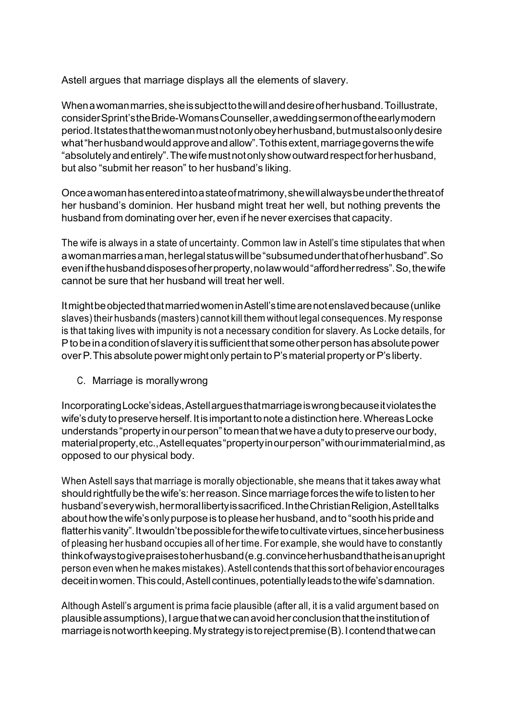Astell argues that marriage displays all the elements of slavery.

When a woman marries, she is subject to the will and desire of her husband. To illustrate, considerSprint'stheBride-WomansCounseller,aweddingsermonoftheearlymodern period.Itstatesthatthewomanmustnotonlyobeyherhusband,butmustalsoonlydesire what "her husband would approve and allow". To this extent, marriage governs the wife "absolutelyandentirely".Thewifemustnotonlyshowoutwardrespectforherhusband, but also "submit her reason" to her husband's liking.

Onceawomanhasenteredintoastateofmatrimony,shewillalwaysbeunderthethreatof her husband's dominion. Her husband might treat her well, but nothing prevents the husband from dominating over her, even if he never exercises that capacity.

The wife is always in a state of uncertainty. Common law in Astell's time stipulates that when awomanmarriesaman,herlegalstatuswillbe"subsumedunderthatofherhusband".So evenifthehusbanddisposesofherproperty,nolawwould"affordherredress".So,thewife cannot be sure that her husband will treat her well.

ItmightbeobjectedthatmarriedwomeninAstell'stimearenotenslavedbecause(unlike slaves)their husbands (masters) cannot kill them without legal consequences. My response is that taking lives with impunity is not a necessary condition for slavery. As Locke details, for P to be in a condition of slavery it is sufficient that some other person has absolute power over P. This absolute power might only pertain to P's material property or P's liberty.

C. Marriage is morallywrong

IncorporatingLocke'sideas,Astellarguesthatmarriageiswrongbecauseitviolatesthe wife's duty to preserve herself. It is important to note a distinction here. Whereas Locke understands "property in our person" to mean that we have a duty to preserve our body, materialproperty,etc.,Astellequates"propertyinourperson"withourimmaterialmind,as opposed to our physical body.

When Astell says that marriage is morally objectionable, she means that it takes away what should rightfully be the wife's: her reason. Since marriage forces the wife to listen to her husband's every wish, hermoral liberty is sacrificed. In the Christian Religion, Astell talks about how the wife's only purpose is to please her husband, and to "sooth his pride and flatter his vanity". It wouldn't be possible for the wife to cultivate virtues, since her business of pleasing her husband occupies all of her time. For example, she would have to constantly thinkofwaystogivepraisestoherhusband(e.g.convinceherhusbandthatheisanupright person even when he makes mistakes).Astell contends that this sort of behavior encourages deceit in women. This could, Astell continues, potentially leads to the wife's damnation.

Although Astell's argument is prima facie plausible (after all, it is a valid argument based on plausible assumptions), I argue that we can avoid her conclusion that the institution of marriage is not worth keeping. My strategy is to reject premise (B). I contend that we can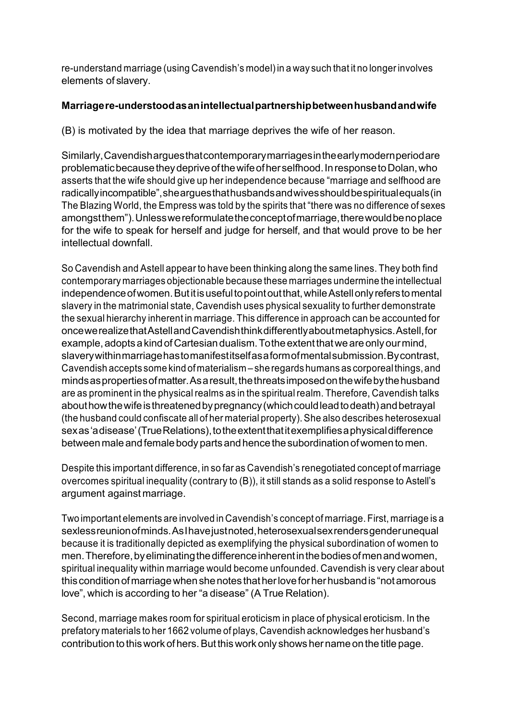re-understand marriage (using Cavendish's model)in a way such that it no longerinvolves elements of slavery.

#### **Marriagere-understoodasanintellectualpartnershipbetweenhusbandandwife**

(B) is motivated by the idea that marriage deprives the wife of her reason.

Similarly,Cavendisharguesthatcontemporarymarriagesintheearlymodernperiodare problematicbecausetheydepriveofthewifeofherselfhood.InresponsetoDolan,who asserts that the wife should give up her independence because "marriage and selfhood are radicallyincompatible",shearguesthathusbandsandwivesshouldbespiritualequals(in The Blazing World, the Empress was told by the spirits that "there was no difference of sexes amongstthem").Unlesswereformulatetheconceptofmarriage,therewouldbenoplace for the wife to speak for herself and judge for herself, and that would prove to be her intellectual downfall.

So Cavendish and Astell appear to have been thinking along the same lines. They both find contemporary marriages objectionable because these marriages undermine the intellectual independence of women. But it is useful to point out that, while Astell only refers to mental slavery in the matrimonial state, Cavendish uses physical sexuality to further demonstrate the sexual hierarchy inherent in marriage. This difference in approach can be accounted for oncewerealizethatAstellandCavendishthinkdifferentlyaboutmetaphysics.Astell,for example, adopts a kind of Cartesian dualism. To the extent that we are only our mind, slaverywithinmarriagehastomanifestitselfasaformofmentalsubmission.Bycontrast, Cavendish accepts some kind of materialism – she regards humans as corporealthings,and minds as properties of matter. As a result, the threats imposed on the wife by the husband are as prominent in the physical realms as in the spiritual realm. Therefore, Cavendish talks about how the wife is threatened by pregnancy (which could lead to death) and betraval (the husband could confiscate all of her material property).She also describes heterosexual sexas'adisease'(TrueRelations), to the extent that it exemplifies a physical difference between male and female body parts and hence the subordination of women to men.

Despite this important difference, in so far as Cavendish's renegotiated concept of marriage overcomes spiritual inequality (contrary to (B)), it still stands as a solid response to Astell's argument against marriage.

Two important elements are involved in Cavendish's concept of marriage. First, marriage is a sexlessreunionofminds.AsIhavejustnoted,heterosexualsexrendersgenderunequal because it is traditionally depicted as exemplifying the physical subordination of women to men. Therefore, by eliminating the difference inherent in the bodies of men and women, spiritual inequality within marriage would become unfounded. Cavendish is very clear about this conditionofmarriagewhenshenotes thatherloveforherhusbandis "notamorous love", which is according to her "a disease" (A True Relation).

Second, marriage makes room for spiritual eroticism in place of physical eroticism. In the prefatory materials to her 1662 volume of plays, Cavendish acknowledges her husband's contribution to this work of hers. But this work only shows her name on the title page.